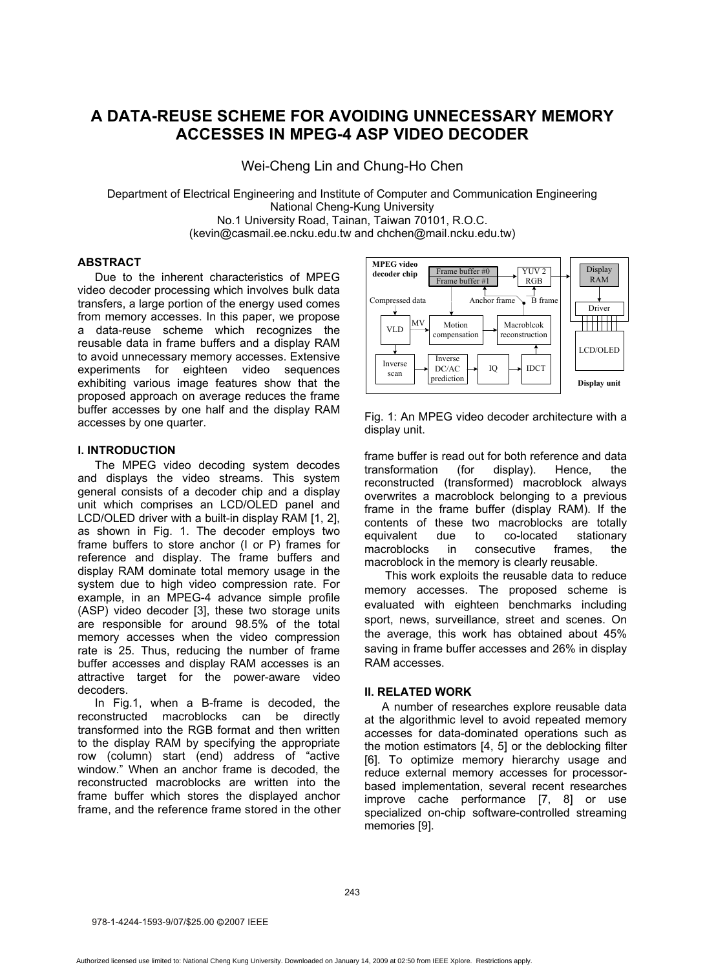# **A DATA-REUSE SCHEME FOR AVOIDING UNNECESSARY MEMORY ACCESSES IN MPEG-4 ASP VIDEO DECODER**

Wei-Cheng Lin and Chung-Ho Chen

Department of Electrical Engineering and Institute of Computer and Communication Engineering National Cheng-Kung University No.1 University Road, Tainan, Taiwan 70101, R.O.C. (kevin@casmail.ee.ncku.edu.tw and chchen@mail.ncku.edu.tw)

# **ABSTRACT**

Due to the inherent characteristics of MPEG video decoder processing which involves bulk data transfers, a large portion of the energy used comes from memory accesses. In this paper, we propose a data-reuse scheme which recognizes the reusable data in frame buffers and a display RAM to avoid unnecessary memory accesses. Extensive experiments for eighteen video sequences exhibiting various image features show that the proposed approach on average reduces the frame buffer accesses by one half and the display RAM accesses by one quarter.

# **I. INTRODUCTION**

The MPEG video decoding system decodes and displays the video streams. This system general consists of a decoder chip and a display unit which comprises an LCD/OLED panel and LCD/OLED driver with a built-in display RAM [1, 2], as shown in Fig. 1. The decoder employs two frame buffers to store anchor (I or P) frames for reference and display. The frame buffers and display RAM dominate total memory usage in the system due to high video compression rate. For example, in an MPEG-4 advance simple profile (ASP) video decoder [3], these two storage units are responsible for around 98.5% of the total memory accesses when the video compression rate is 25. Thus, reducing the number of frame buffer accesses and display RAM accesses is an attractive target for the power-aware video decoders.

In Fig.1, when a B-frame is decoded, the reconstructed macroblocks can be directly transformed into the RGB format and then written to the display RAM by specifying the appropriate row (column) start (end) address of "active window." When an anchor frame is decoded, the reconstructed macroblocks are written into the frame buffer which stores the displayed anchor frame, and the reference frame stored in the other



Fig. 1: An MPEG video decoder architecture with a display unit.

frame buffer is read out for both reference and data transformation (for display). Hence, the reconstructed (transformed) macroblock always overwrites a macroblock belonging to a previous frame in the frame buffer (display RAM). If the contents of these two macroblocks are totally equivalent due to co-located stationary macroblocks in consecutive frames, the macroblock in the memory is clearly reusable.

This work exploits the reusable data to reduce memory accesses. The proposed scheme is evaluated with eighteen benchmarks including sport, news, surveillance, street and scenes. On the average, this work has obtained about 45% saving in frame buffer accesses and 26% in display RAM accesses.

### **II. RELATED WORK**

A number of researches explore reusable data at the algorithmic level to avoid repeated memory accesses for data-dominated operations such as the motion estimators [4, 5] or the deblocking filter [6]. To optimize memory hierarchy usage and reduce external memory accesses for processorbased implementation, several recent researches improve cache performance [7, 8] or use specialized on-chip software-controlled streaming memories [9].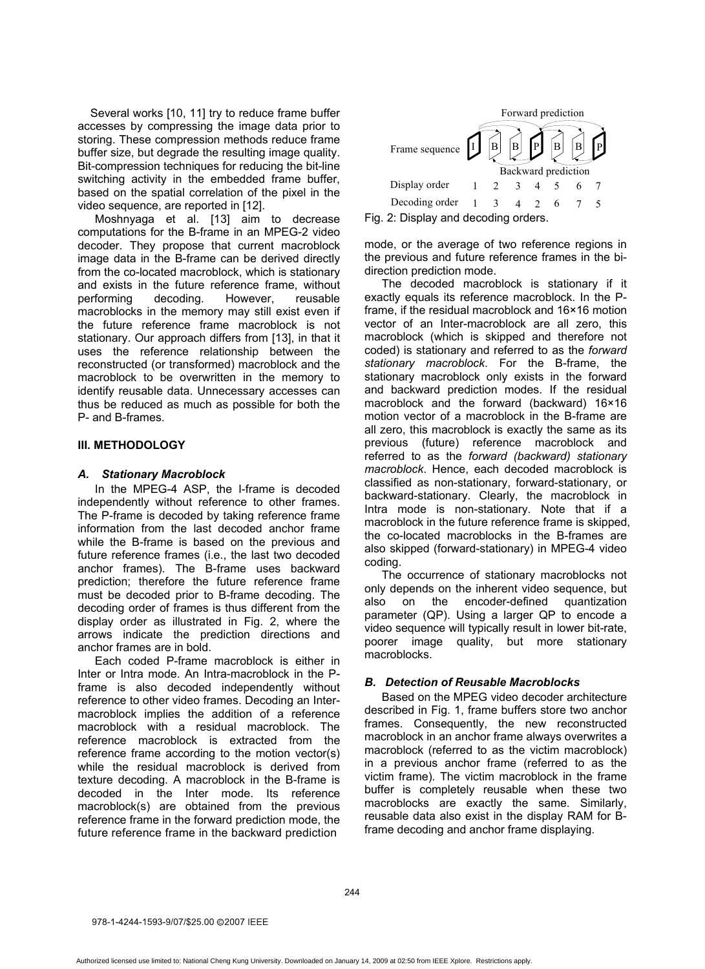Several works [10, 11] try to reduce frame buffer accesses by compressing the image data prior to storing. These compression methods reduce frame buffer size, but degrade the resulting image quality. Bit-compression techniques for reducing the bit-line switching activity in the embedded frame buffer, based on the spatial correlation of the pixel in the video sequence, are reported in [12].

Moshnyaga et al. [13] aim to decrease computations for the B-frame in an MPEG-2 video decoder. They propose that current macroblock image data in the B-frame can be derived directly from the co-located macroblock, which is stationary and exists in the future reference frame, without performing decoding. However, reusable macroblocks in the memory may still exist even if the future reference frame macroblock is not stationary. Our approach differs from [13], in that it uses the reference relationship between the reconstructed (or transformed) macroblock and the macroblock to be overwritten in the memory to identify reusable data. Unnecessary accesses can thus be reduced as much as possible for both the P- and B-frames.

# **III. METHODOLOGY**

# *A. Stationary Macroblock*

In the MPEG-4 ASP, the I-frame is decoded independently without reference to other frames. The P-frame is decoded by taking reference frame information from the last decoded anchor frame while the B-frame is based on the previous and future reference frames (i.e., the last two decoded anchor frames). The B-frame uses backward prediction; therefore the future reference frame must be decoded prior to B-frame decoding. The decoding order of frames is thus different from the display order as illustrated in Fig. 2, where the arrows indicate the prediction directions and anchor frames are in bold.

Each coded P-frame macroblock is either in Inter or Intra mode. An Intra-macroblock in the Pframe is also decoded independently without reference to other video frames. Decoding an Intermacroblock implies the addition of a reference macroblock with a residual macroblock. The reference macroblock is extracted from the reference frame according to the motion vector(s) while the residual macroblock is derived from texture decoding. A macroblock in the B-frame is decoded in the Inter mode. Its reference macroblock(s) are obtained from the previous reference frame in the forward prediction mode, the future reference frame in the backward prediction



mode, or the average of two reference regions in the previous and future reference frames in the bidirection prediction mode.

The decoded macroblock is stationary if it exactly equals its reference macroblock. In the Pframe, if the residual macroblock and 16×16 motion vector of an Inter-macroblock are all zero, this macroblock (which is skipped and therefore not coded) is stationary and referred to as the *forward stationary macroblock*. For the B-frame, the stationary macroblock only exists in the forward and backward prediction modes. If the residual macroblock and the forward (backward) 16×16 motion vector of a macroblock in the B-frame are all zero, this macroblock is exactly the same as its previous (future) reference macroblock and referred to as the *forward (backward) stationary macroblock*. Hence, each decoded macroblock is classified as non-stationary, forward-stationary, or backward-stationary. Clearly, the macroblock in Intra mode is non-stationary. Note that if a macroblock in the future reference frame is skipped, the co-located macroblocks in the B-frames are also skipped (forward-stationary) in MPEG-4 video coding.

The occurrence of stationary macroblocks not only depends on the inherent video sequence, but also on the encoder-defined quantization parameter (QP). Using a larger QP to encode a video sequence will typically result in lower bit-rate, poorer image quality, but more stationary macroblocks.

# *B. Detection of Reusable Macroblocks*

Based on the MPEG video decoder architecture described in Fig. 1, frame buffers store two anchor frames. Consequently, the new reconstructed macroblock in an anchor frame always overwrites a macroblock (referred to as the victim macroblock) in a previous anchor frame (referred to as the victim frame). The victim macroblock in the frame buffer is completely reusable when these two macroblocks are exactly the same. Similarly, reusable data also exist in the display RAM for Bframe decoding and anchor frame displaying.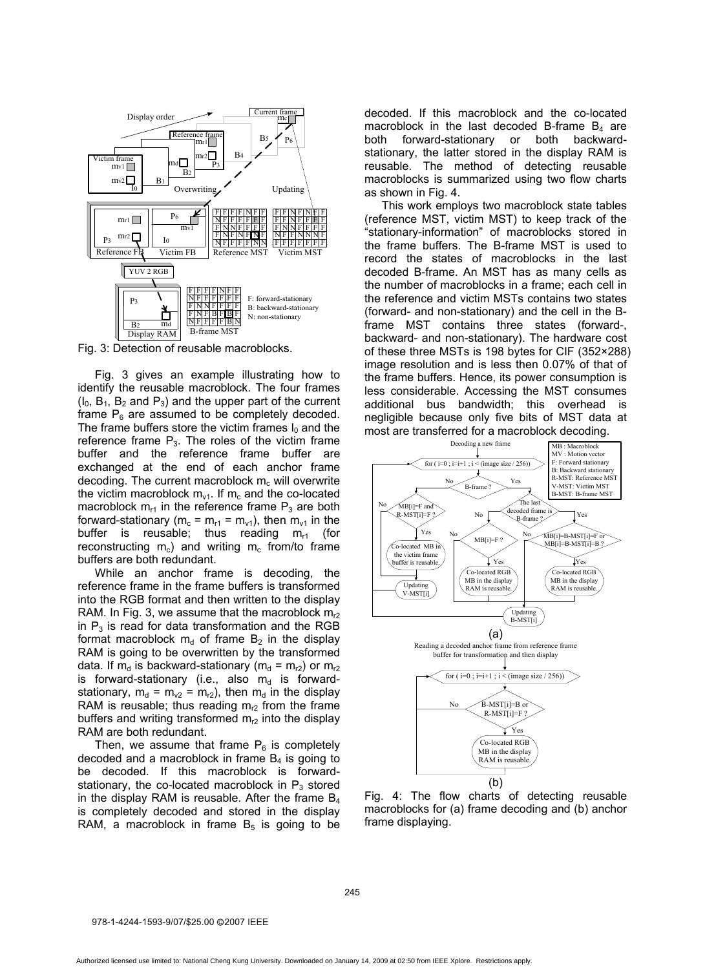

Fig. 3: Detection of reusable macroblocks.

Fig. 3 gives an example illustrating how to identify the reusable macroblock. The four frames  $(I_0, B_1, B_2, I_3)$  and the upper part of the current frame  $P_6$  are assumed to be completely decoded. The frame buffers store the victim frames  $I_0$  and the reference frame  $P_3$ . The roles of the victim frame buffer and the reference frame buffer are exchanged at the end of each anchor frame decoding. The current macroblock  $m_c$  will overwrite the victim macroblock  $m_{v1}$ . If  $m_c$  and the co-located macroblock  $m_{r1}$  in the reference frame  $P_3$  are both forward-stationary ( $m_c = m_{r1} = m_{v1}$ ), then  $m_{v1}$  in the buffer is reusable; thus reading  $m_{r1}$  (for reconstructing  $m_c$ ) and writing  $m_c$  from/to frame buffers are both redundant.

While an anchor frame is decoding, the reference frame in the frame buffers is transformed into the RGB format and then written to the display RAM. In Fig. 3, we assume that the macroblock  $m<sub>2</sub>$ in  $P_3$  is read for data transformation and the RGB format macroblock  $m_d$  of frame  $B_2$  in the display RAM is going to be overwritten by the transformed data. If  $m_d$  is backward-stationary ( $m_d = m_{r2}$ ) or  $m_{r2}$ is forward-stationary (i.e., also  $m_d$  is forwardstationary,  $m_d = m_{v2} = m_{r2}$ , then  $m_d$  in the display RAM is reusable; thus reading  $m<sub>12</sub>$  from the frame buffers and writing transformed  $m<sub>r2</sub>$  into the display RAM are both redundant.

Then, we assume that frame  $P_6$  is completely decoded and a macroblock in frame  $B_4$  is going to be decoded. If this macroblock is forwardstationary, the co-located macroblock in  $P_3$  stored in the display RAM is reusable. After the frame  $B_4$ is completely decoded and stored in the display RAM, a macroblock in frame  $B_5$  is going to be decoded. If this macroblock and the co-located macroblock in the last decoded B-frame  $B_4$  are both forward-stationary or both backwardstationary, the latter stored in the display RAM is reusable. The method of detecting reusable macroblocks is summarized using two flow charts as shown in Fig. 4.

This work employs two macroblock state tables (reference MST, victim MST) to keep track of the "stationary-information" of macroblocks stored in the frame buffers. The B-frame MST is used to record the states of macroblocks in the last decoded B-frame. An MST has as many cells as the number of macroblocks in a frame; each cell in the reference and victim MSTs contains two states (forward- and non-stationary) and the cell in the Bframe MST contains three states (forward-, backward- and non-stationary). The hardware cost of these three MSTs is 198 bytes for CIF (352×288) image resolution and is less then 0.07% of that of the frame buffers. Hence, its power consumption is less considerable. Accessing the MST consumes additional bus bandwidth; this overhead is negligible because only five bits of MST data at most are transferred for a macroblock decoding.



Fig. 4: The flow charts of detecting reusable macroblocks for (a) frame decoding and (b) anchor frame displaying.